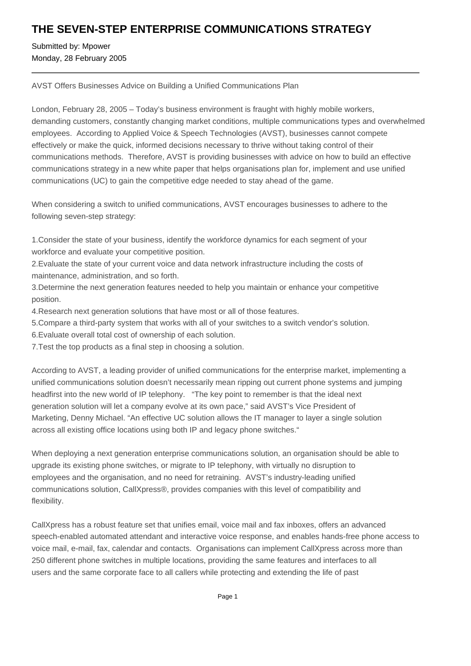## **THE SEVEN-STEP ENTERPRISE COMMUNICATIONS STRATEGY**

Submitted by: Mpower Monday, 28 February 2005

AVST Offers Businesses Advice on Building a Unified Communications Plan

London, February 28, 2005 – Today's business environment is fraught with highly mobile workers, demanding customers, constantly changing market conditions, multiple communications types and overwhelmed employees. According to Applied Voice & Speech Technologies (AVST), businesses cannot compete effectively or make the quick, informed decisions necessary to thrive without taking control of their communications methods. Therefore, AVST is providing businesses with advice on how to build an effective communications strategy in a new white paper that helps organisations plan for, implement and use unified communications (UC) to gain the competitive edge needed to stay ahead of the game.

When considering a switch to unified communications, AVST encourages businesses to adhere to the following seven-step strategy:

1. Consider the state of your business, identify the workforce dynamics for each segment of your workforce and evaluate your competitive position.

2. Evaluate the state of your current voice and data network infrastructure including the costs of maintenance, administration, and so forth.

3. Determine the next generation features needed to help you maintain or enhance your competitive position.

4. Research next generation solutions that have most or all of those features.

5. Compare a third-party system that works with all of your switches to a switch vendor's solution.

6. Evaluate overall total cost of ownership of each solution.

7. Test the top products as a final step in choosing a solution.

According to AVST, a leading provider of unified communications for the enterprise market, implementing a unified communications solution doesn't necessarily mean ripping out current phone systems and jumping headfirst into the new world of IP telephony. "The key point to remember is that the ideal next generation solution will let a company evolve at its own pace," said AVST's Vice President of Marketing, Denny Michael. "An effective UC solution allows the IT manager to layer a single solution across all existing office locations using both IP and legacy phone switches."

When deploying a next generation enterprise communications solution, an organisation should be able to upgrade its existing phone switches, or migrate to IP telephony, with virtually no disruption to employees and the organisation, and no need for retraining. AVST's industry-leading unified communications solution, CallXpress®, provides companies with this level of compatibility and flexibility.

CallXpress has a robust feature set that unifies email, voice mail and fax inboxes, offers an advanced speech-enabled automated attendant and interactive voice response, and enables hands-free phone access to voice mail, e-mail, fax, calendar and contacts. Organisations can implement CallXpress across more than 250 different phone switches in multiple locations, providing the same features and interfaces to all users and the same corporate face to all callers while protecting and extending the life of past